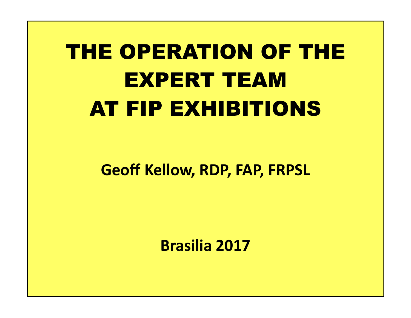# THE OPERATION OF THE EXPERT TEAM AT FIP EXHIBITIONS

#### Geoff Kellow, RDP, FAP, FRPSL

Brasilia 2017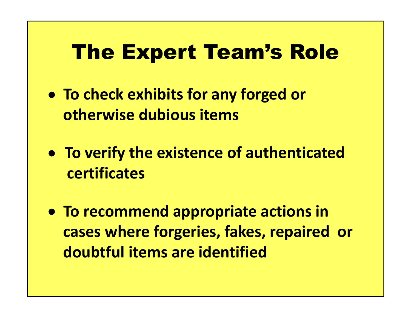# The Expert Team's Role

- To check exhibits for any forged or otherwise dubious items
- To verify the existence of authenticated certificates
- To recommend appropriate actions in cases where forgeries, fakes, repaired or doubtful items are identified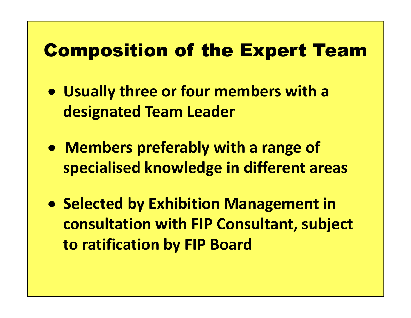## Composition of the Expert Team

- Usually three or four members with a designated Team Leader
- Members preferably with a range of specialised knowledge in different areas
- **Selected by Exhibition Management in** consultation with FIP Consultant, subject to ratification by FIP Board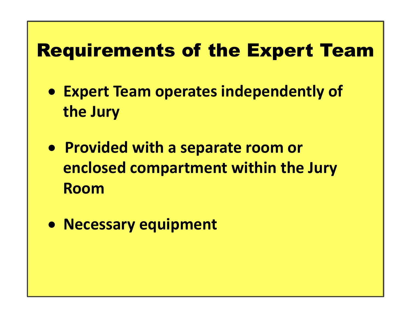## Requirements of the Expert Team

- Expert Team operates independently of the Jury
- Provided with a separate room or enclosed compartment within the Jury Room
- Necessary equipment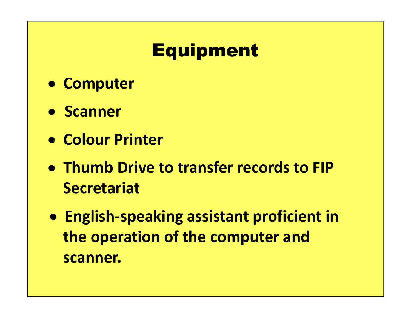# Equipment

- Computer
- **Scanner**
- Colour Printer
- Thumb Drive to transfer records to FIP **Secretariat**
- English-speaking assistant proficient in the operation of the computer and scanner.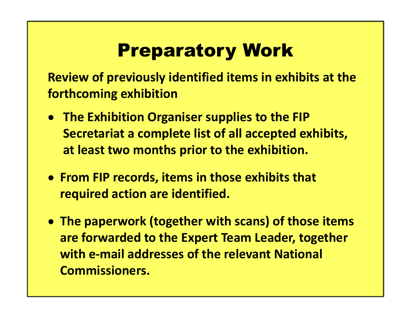# Preparatory Work

Review of previously identified items in exhibits at the forthcoming exhibition

- **The Exhibition Organiser supplies to the FIP** Secretariat a complete list of all accepted exhibits, at least two months prior to the exhibition.
- From FIP records, items in those exhibits that required action are identified.
- The paperwork (together with scans) of those items are forwarded to the Expert Team Leader, together with e-mail addresses of the relevant National Commissioners.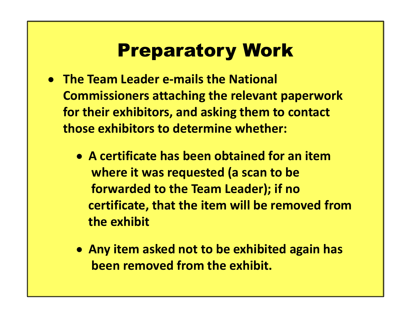## Preparatory Work

- The Team Leader e-mails the National Commissioners attaching the relevant paperwork for their exhibitors, and asking them to contact those exhibitors to determine whether:
	- A certificate has been obtained for an item where it was requested (a scan to be forwarded to the Team Leader); if no certificate, that the item will be removed from the exhibit
	- Any item asked not to be exhibited again has been removed from the exhibit.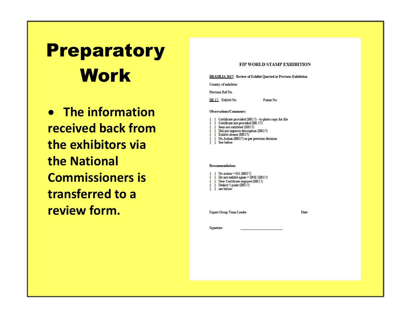# Preparatory ERASILIA 2017: Review of Exhibit Queried at Previous Exhibition<br>Country of exhibitor:

**• The information** received back from the exhibitors via the National Commissioners is transferred to a review form.

#### FIP WORLD STAMP EXHIBITION

Frame No

Previous Ref No.

BR 17 Exhibit No

#### **Observations/Comments:**

Certificate provided (BR17) - to photo copy for file Certificate not provided (BR 17) Item not exhibited (BR17) Did not improve description (BR17) Exhibit absent (BR17) No Action (BR17) as per previous decision See below:

#### **Recommendation:**

No action = NA (BR17) Do not exhibit again = DNE (BR17) New Certificate required (BR17) Deduct 5 point (BR17) see below:

**Expert Group Team Leader** 

Date

Signature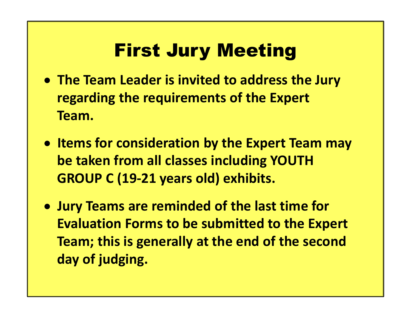# First Jury Meeting

- The Team Leader is invited to address the Jury regarding the requirements of the Expert Team.
- Items for consideration by the Expert Team may be taken from all classes including YOUTH GROUP C (19-21 years old) exhibits.
- Jury Teams are reminded of the last time for Evaluation Forms to be submitted to the Expert Team; this is generally at the end of the second day of judging.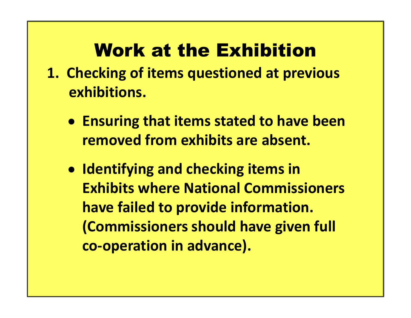# Work at the Exhibition

- **Work at the Exhibition**<br>1. Checking of items questioned at previous<br>exhibitions. exhibitions.
	- **Ensuring that items stated to have been** removed from exhibits are absent.
	- Identifying and checking items in Exhibits where National Commissioners have failed to provide information. (Commissioners should have given full co-operation in advance).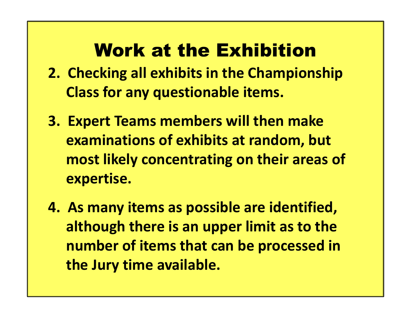# Work at the Exhibition

- **2. Checking all exhibits in the Exhibition**<br>2. Checking all exhibits in the Championship<br>Class for any questionable items. Class for any questionable items.
- 3. Expert Teams members will then make examinations of exhibits at random, but most likely concentrating on their areas of expertise.
- 4. As many items as possible are identified, although there is an upper limit as to the number of items that can be processed in the Jury time available.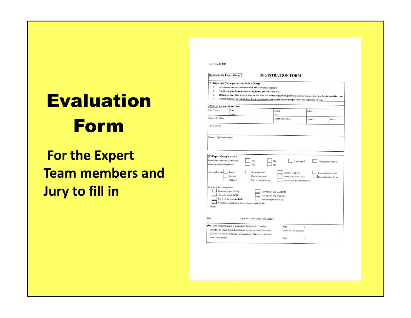# Evaluation Form

For the Expert Team members and Jury to fill in

| $\overline{2}$<br>3<br>$\overline{4}$                             |                                                                                                                                              | The Registration Form is meant to register one philatelic item only.        | If there are more than one item in an exhibit sheet that are seeking opinion, please use a second Registration Form for the second item, etc<br>A set of stamps on an exhibit sheet that are seeking the same opinion may be grouped under one Registration Form. |             |  |                                                                           |
|-------------------------------------------------------------------|----------------------------------------------------------------------------------------------------------------------------------------------|-----------------------------------------------------------------------------|-------------------------------------------------------------------------------------------------------------------------------------------------------------------------------------------------------------------------------------------------------------------|-------------|--|---------------------------------------------------------------------------|
| (B) Registration Information                                      |                                                                                                                                              |                                                                             |                                                                                                                                                                                                                                                                   |             |  |                                                                           |
| From Team #                                                       | Team<br>Leader                                                                                                                               |                                                                             | Exhibit                                                                                                                                                                                                                                                           | Exhibit #   |  |                                                                           |
| Name of Exhibitor                                                 |                                                                                                                                              |                                                                             | Class<br>Country of Exhibitor                                                                                                                                                                                                                                     | Frame #     |  | Sheet $#$                                                                 |
| Title of Exhibit                                                  |                                                                                                                                              |                                                                             |                                                                                                                                                                                                                                                                   |             |  |                                                                           |
|                                                                   |                                                                                                                                              |                                                                             |                                                                                                                                                                                                                                                                   |             |  |                                                                           |
| Nature of Opinion(s) Sought:                                      |                                                                                                                                              |                                                                             |                                                                                                                                                                                                                                                                   |             |  |                                                                           |
|                                                                   |                                                                                                                                              |                                                                             |                                                                                                                                                                                                                                                                   |             |  |                                                                           |
|                                                                   |                                                                                                                                              |                                                                             |                                                                                                                                                                                                                                                                   |             |  |                                                                           |
| (C) Expert Group's Action<br>Was the item taken out of the frame? |                                                                                                                                              | Yes                                                                         | No                                                                                                                                                                                                                                                                |             |  |                                                                           |
| Was the commissioner present?<br>Opinion of Group                 | Forgery<br>Genuine<br>Repaired                                                                                                               | <b>Yes</b><br>Not as described<br>Cleaned/tempered<br>Stamp does not belong | No<br>Stamp(s) is missing<br>Stamp(s) has been added<br>Cancellation has been improved                                                                                                                                                                            | Photocopied |  | Photographed/scanned<br>Cancellation is forged<br>Cancellation is redrawn |
| Remarks & Recommendations:                                        | No action required (NA)<br>las to be certified (CR)<br>Not to be shown again (DNE)<br>No action required but to improve in description (NAI) |                                                                             | Downgraded one level (DO)<br>Downgraded two levels (DT)<br>Exhibit disqualified (ED)                                                                                                                                                                              |             |  |                                                                           |
| Others:                                                           |                                                                                                                                              |                                                                             |                                                                                                                                                                                                                                                                   |             |  |                                                                           |
| Date                                                              |                                                                                                                                              | Signature (Expert Group Team Leader):                                       |                                                                                                                                                                                                                                                                   |             |  |                                                                           |

**REGISTRATION FORM** 

**AUSTRALIA 2013** 

Request to the Expert Group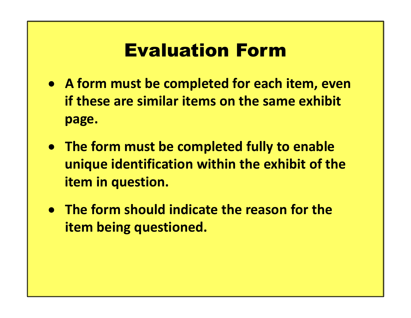## Evaluation Form

- A form must be completed for each item, even if these are similar items on the same exhibit page.
- The form must be completed fully to enable unique identification within the exhibit of the item in question.
- The form should indicate the reason for the item being questioned.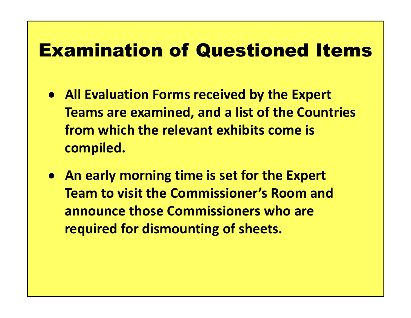- All Evaluation Forms received by the Expert Teams are examined, and a list of the Countries from which the relevant exhibits come is compiled.
- An early morning time is set for the Expert Team to visit the Commissioner's Room and announce those Commissioners who are required for dismounting of sheets.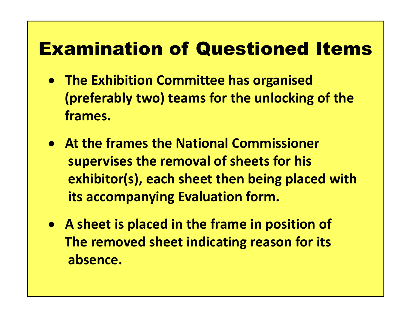- **The Exhibition Committee has organised** (preferably two) teams for the unlocking of the frames.
- At the frames the National Commissioner supervises the removal of sheets for his exhibitor(s), each sheet then being placed with its accompanying Evaluation form.
- A sheet is placed in the frame in position of The removed sheet indicating reason for its absence.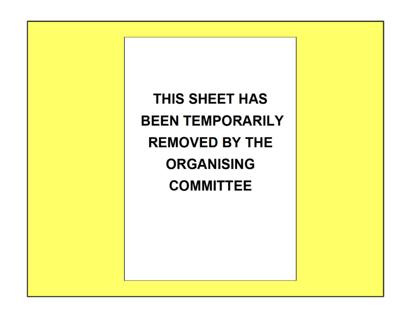THIS SHEET HAS **BEEN TEMPORARILY REMOVED BY THE ORGANISING COMMITTEE**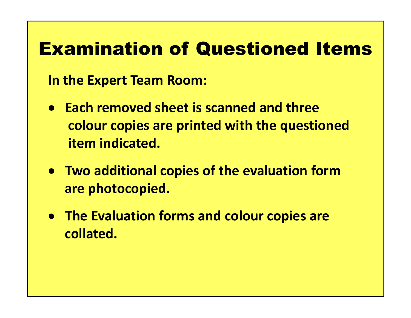In the Expert Team Room:

- Each removed sheet is scanned and three colour copies are printed with the questioned item indicated.
- Two additional copies of the evaluation form are photocopied.
- The Evaluation forms and colour copies are collated.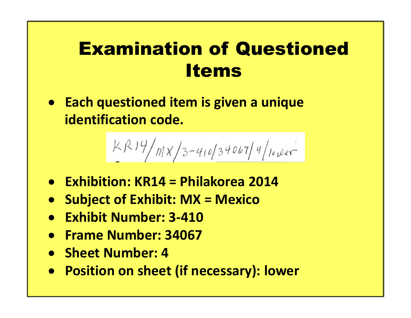• Each questioned item is given a unique identification code. **Exhibition: KR14** = Philakorea 2014<br> **Exhibition: KR14** = Philakorea 2014<br> **Exhibition: KR14** = Philakorea 2014<br> **Exhibition: KR14** = Philakorea 2014<br> **Exhibition: KR14** = Philakorea 2014<br> **Exhibit Number: 3-410** 

$$
\frac{kR14}{m}x/3-410/340674/100000
$$

- 
- Subject of Exhibit: MX = Mexico
- Exhibit Number: 3-410
- Frame Number: 34067
- Sheet Number: 4
- Position on sheet (if necessary): lower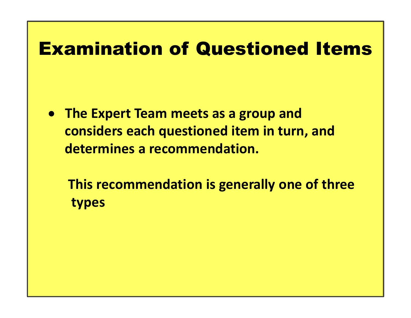- The Expert Team meets as a group and considers each questioned item in turn, and determines a recommendation.
	- This recommendation is generally one of three types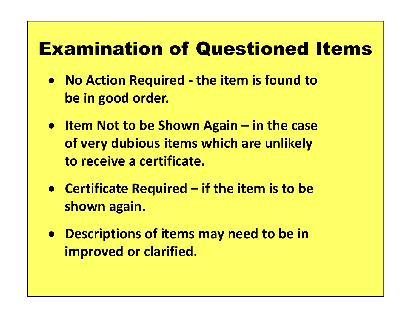- Examination of Questioned Items<br>• No Action Required the item is found to<br>be in good order. be in good order.
- **Examination of Questioned Items**<br>• No Action Required the item is found to<br>be in good order.<br>• Item Not to be Shown Again in the case<br>of very dubious items which are unlikely<br>to receive a certificate. of very dubious items which are unlikely to receive a certificate. • No Action Required - the item is found to<br>be in good order.<br>• Item Not to be Shown Again – in the case<br>of very dubious items which are unlikely<br>to receive a certificate.<br>• Certificate Required – if the item is to be<br>show
- shown again.
- Descriptions of items may need to be in improved or clarified.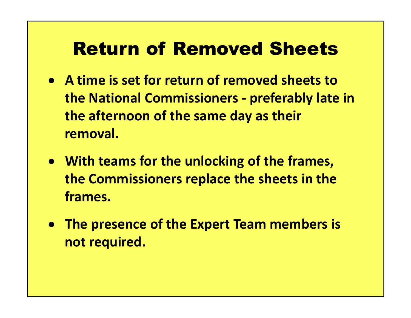## Return of Removed Sheets

- A time is set for return of removed sheets to **Return of Removed Sheets<br>
A time is set for return of removed sheets to<br>
the National Commissioners - preferably late in<br>
the afternoon of the same day as their<br>
removal.** the afternoon of the same day as their removal.
- With teams for the unlocking of the frames, the Commissioners replace the sheets in the frames.
- The presence of the Expert Team members is not required.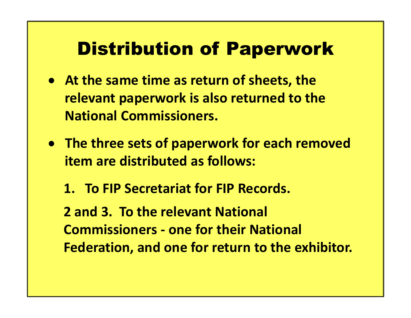## Distribution of Paperwork

- At the same time as return of sheets, the relevant paperwork is also returned to the National Commissioners. At the same time as return of sheets, the<br>relevant paperwork is also returned to the<br>National Commissioners.<br>The three sets of paperwork for each remov<br>item are distributed as follows:<br>1. To FIP Secretariat for FIP Records
- The three sets of paperwork for each removed item are distributed as follows:
	-

2 and 3. To the relevant National The three sets of paperwork for each remove<br>
The three sets of paperwork for each remove<br>
item are distributed as follows:<br>
1. To FIP Secretariat for FIP Records.<br>
2 and 3. To the relevant National<br>
Commissioners - one for Federation, and one for return to the exhibitor.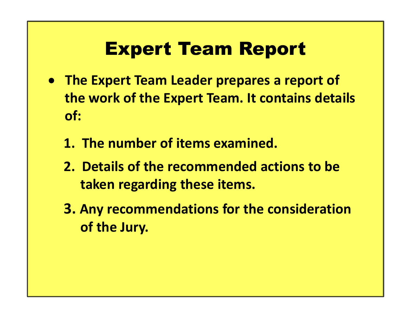# Expert Team Report

- The Expert Team Leader prepares a report of the work of the Expert Team. It contains details of: **Expert Team Report**<br>The Expert Team Leader prepares a repor<br>the work of the Expert Team. It contains cof:<br>1. The number of items examined.<br>2. Details of the recommended actions to<br>taken regarding these items. **Expert Team Report**<br>The Expert Team Leader prepares a report of<br>the work of the Expert Team. It contains details<br>of:<br>1. The number of items examined.<br>2. Details of the recommended actions to be<br>taken regarding these items
	-
	- taken regarding these items.
	- 3. Any recommendations for the consideration of the Jury.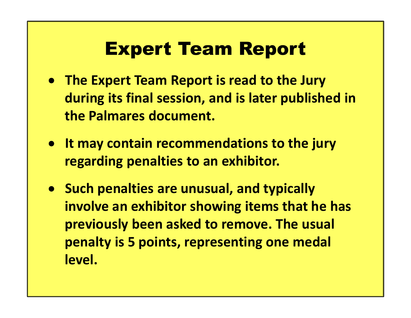## Expert Team Report

- The Expert Team Report is read to the Jury during its final session, and is later published in **Expert Team Report**<br>The Expert Team Report is read to the Jure<br>during its final session, and is later publis<br>the Palmares document.<br>It may contain recommendations to the ju
- It may contain recommendations to the jury regarding penalties to an exhibitor.
- Such penalties are unusual, and typically involve an exhibitor showing items that he has previously been asked to remove. The usual penalty is 5 points, representing one medal level.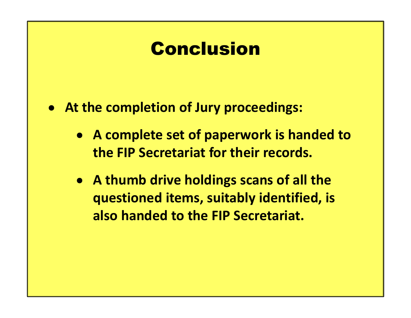## Conclusion

- At the completion of Jury proceedings:
	- A complete set of paperwork is handed to the FIP Secretariat for their records.
	- A thumb drive holdings scans of all the questioned items, suitably identified, is also handed to the FIP Secretariat.